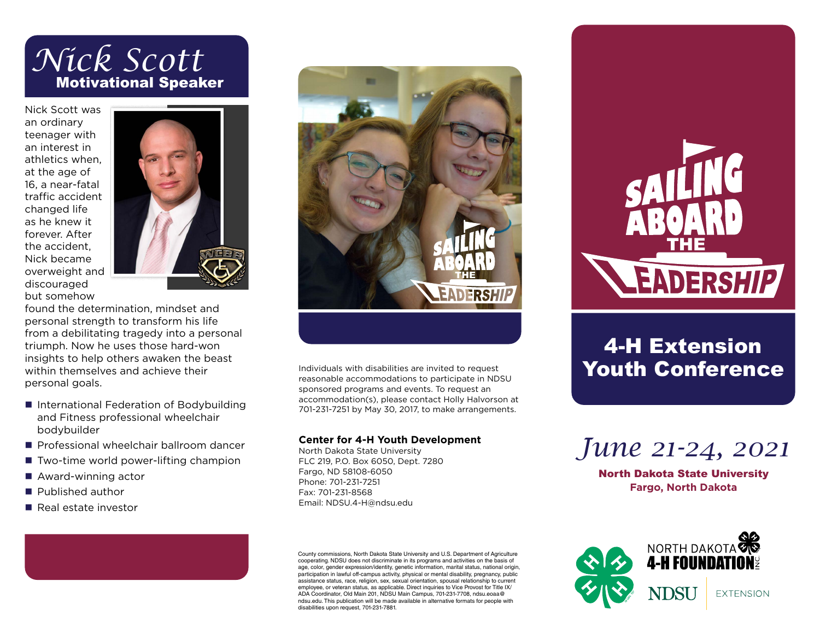# *Nick Scott* Motivational Speaker

Nick Scott was an ordinary teenager with an interest in athletics when, at the age of 16, a near-fatal traffic accident changed life as he knew it forever. After the accident, Nick became overweight and discouraged but somehow



found the determination, mindset and personal strength to transform his life from a debilitating tragedy into a personal triumph. Now he uses those hard-won insights to help others awaken the beast within themselves and achieve their personal goals.

- International Federation of Bodybuilding and Fitness professional wheelchair bodybuilder
- $\blacksquare$  Professional wheelchair ballroom dancer
- $\blacksquare$  Two-time world power-lifting champion
- $\blacksquare$  Award-winning actor
- **n** Published author
- **Real estate investor**



Individuals with disabilities are invited to request reasonable accommodations to participate in NDSU sponsored programs and events. To request an accommodation(s), please contact Holly Halvorson at 701-231-7251 by May 30, 2017, to make arrangements.

#### **Center for 4-H Youth Development**

North Dakota State University FLC 219, P.O. Box 6050, Dept. 7280 Fargo, ND 58108-6050 Phone: 701-231-7251 Fax: 701-231-8568 Email: NDSU.4-H@ndsu.edu

County commissions, North Dakota State University and U.S. Department of Agriculture cooperating. NDSU does not discriminate in its programs and activities on the basis of age, color, gender expression/identity, genetic information, marital status, national origin, participation in lawful off-campus activity, physical or mental disability, pregnancy, public assistance status, race, religion, sex, sexual orientation, spousal relationship to current employee, or veteran status, as applicable. Direct inquiries to Vice Provost for Title IX/ ADA Coordinator, Old Main 201, NDSU Main Campus, 701-231-7708, ndsu.eoaa@ ndsu.edu. This publication will be made available in alternative formats for people with disabilities upon request, 701-231-7881.



## 4-H Extension Youth Conference



North Dakota State University **Fargo, North Dakota**